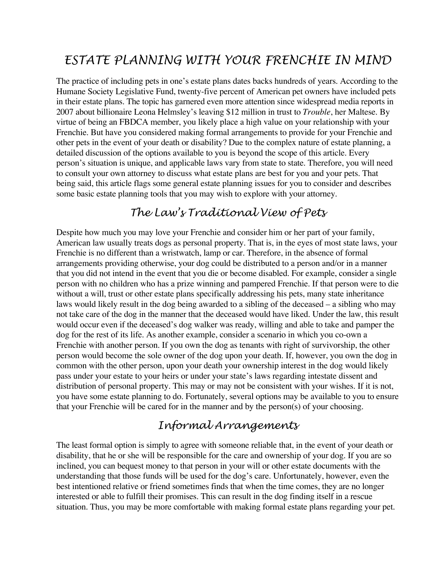# *ESTATE PLANNING WITH YOUR FRENCHIE IN MIND*

The practice of including pets in one's estate plans dates backs hundreds of years. According to the Humane Society Legislative Fund, twenty-five percent of American pet owners have included pets in their estate plans. The topic has garnered even more attention since widespread media reports in 2007 about billionaire Leona Helmsley's leaving \$12 million in trust to *Trouble*, her Maltese. By virtue of being an FBDCA member, you likely place a high value on your relationship with your Frenchie. But have you considered making formal arrangements to provide for your Frenchie and other pets in the event of your death or disability? Due to the complex nature of estate planning, a detailed discussion of the options available to you is beyond the scope of this article. Every person's situation is unique, and applicable laws vary from state to state. Therefore, you will need to consult your own attorney to discuss what estate plans are best for you and your pets. That being said, this article flags some general estate planning issues for you to consider and describes some basic estate planning tools that you may wish to explore with your attorney.

# *The Law's Traditional View of Pets*

Despite how much you may love your Frenchie and consider him or her part of your family, American law usually treats dogs as personal property. That is, in the eyes of most state laws, your Frenchie is no different than a wristwatch, lamp or car. Therefore, in the absence of formal arrangements providing otherwise, your dog could be distributed to a person and/or in a manner that you did not intend in the event that you die or become disabled. For example, consider a single person with no children who has a prize winning and pampered Frenchie. If that person were to die without a will, trust or other estate plans specifically addressing his pets, many state inheritance laws would likely result in the dog being awarded to a sibling of the deceased – a sibling who may not take care of the dog in the manner that the deceased would have liked. Under the law, this result would occur even if the deceased's dog walker was ready, willing and able to take and pamper the dog for the rest of its life. As another example, consider a scenario in which you co-own a Frenchie with another person. If you own the dog as tenants with right of survivorship, the other person would become the sole owner of the dog upon your death. If, however, you own the dog in common with the other person, upon your death your ownership interest in the dog would likely pass under your estate to your heirs or under your state's laws regarding intestate dissent and distribution of personal property. This may or may not be consistent with your wishes. If it is not, you have some estate planning to do. Fortunately, several options may be available to you to ensure that your Frenchie will be cared for in the manner and by the person(s) of your choosing.

# *Informal Arrangements*

The least formal option is simply to agree with someone reliable that, in the event of your death or disability, that he or she will be responsible for the care and ownership of your dog. If you are so inclined, you can bequest money to that person in your will or other estate documents with the understanding that those funds will be used for the dog's care. Unfortunately, however, even the best intentioned relative or friend sometimes finds that when the time comes, they are no longer interested or able to fulfill their promises. This can result in the dog finding itself in a rescue situation. Thus, you may be more comfortable with making formal estate plans regarding your pet.